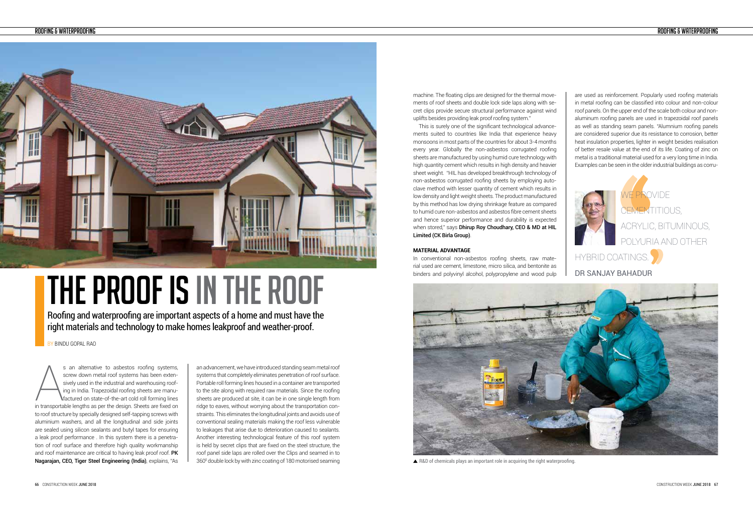

BY BINDU GOPAL RAO

Roofing and waterproofing are important aspects of a home and must have the right materials and technology to make homes leakproof and weather-proof.

# THE PROOF IS IN THE ROOF

s an alternative to asbestos roofing systems,<br>screw down metal roof systems has been exten-<br>sively used in the industrial and warehousing roof-<br>ing in India. Trapezoidal roofing sheets are manu-<br>factured on state-of-the-ar s an alternative to asbestos roofing systems, screw down metal roof systems has been extensively used in the industrial and warehousing roofing in India. Trapezoidal roofing sheets are manufactured on state-of-the-art cold roll forming lines to roof structure by specially designed self-tapping screws with aluminium washers, and all the longitudinal and side joints are sealed using silicon sealants and butyl tapes for ensuring a leak proof performance . In this system there is a penetration of roof surface and therefore high quality workmanship and roof maintenance are critical to having leak proof roof. PK Nagarajan, CEO, Tiger Steel Engineering (India), explains, "As

an advancement, we have introduced standing seam metal roof systems that completely eliminates penetration of roof surface. Portable roll forming lines housed in a container are transported to the site along with required raw materials. Since the roofing sheets are produced at site, it can be in one single length from ridge to eaves, without worrying about the transportation constraints. This eliminates the longitudinal joints and avoids use of conventional sealing materials making the roof less vulnerable to leakages that arise due to deterioration caused to sealants. Another interesting technological feature of this roof system is held by secret clips that are fixed on the steel structure, the roof panel side laps are rolled over the Clips and seamed in to 3600 double lock by with zinc coating of 180 motorised seaming

machine. The floating clips are designed for the thermal movements of roof sheets and double lock side laps along with secret clips provide secure structural performance against wind uplifts besides providing leak proof roofing system."

This is surely one of the significant technological advancements suited to countries like India that experience heavy monsoons in most parts of the countries for about 3-4 months every year. Globally the non-asbestos corrugated roofing sheets are manufactured by using humid cure technology with high quantity cement which results in high density and heavier sheet weight. "HIL has developed breakthrough technology of non-asbestos corrugated roofing sheets by employing autoclave method with lesser quantity of cement which results in low density and light weight sheets. The product manufactured by this method has low drying shrinkage feature as compared to humid cure non-asbestos and asbestos fibre cement sheets and hence superior performance and durability is expected when stored," says Dhirup Roy Choudhary, CEO & MD at HIL Limited (CK Birla Group).

#### **MATERIAL ADVANTAGE**

In conventional non-asbestos roofing sheets, raw material used are cement, limestone, micro silica, and bentonite as binders and polyvinyl alcohol, polypropylene and wood pulp HYBRID COATINGS.



▲ R&D of chemicals plays an important role in acquiring the right waterproofing.

WE PROVIDE CEMENTITIOUS. ACRYLIC, BITUMINOUS, POLYURIA AND OTHER

DR SANJAY BAHADUR

are used as reinforcement. Popularly used roofing materials in metal roofing can be classified into colour and non-colour roof panels. On the upper end of the scale both colour and nonaluminum roofing panels are used in trapezoidal roof panels as well as standing seam panels. "Alumnium roofing panels are considered superior due its resistance to corrosion, better heat insulation properties, lighter in weight besides realisation of better resale value at the end of its life. Coating of zinc on metal is a traditional material used for a very long time in India. Examples can be seen in the older industrial buildings as corru-

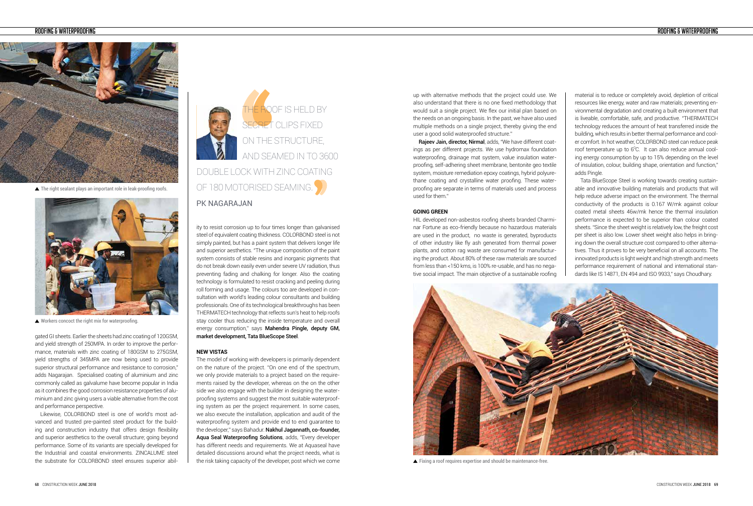### ROOFING & WATERPROOFING



▲ The right sealant plays an important role in leak-proofing roofs.



Workers concoct the right mix for waterproofing.

ity to resist corrosion up to four times longer than galvanised steel of equivalent coating thickness. COLORBOND steel is not simply painted, but has a paint system that delivers longer life and superior aesthetics. "The unique composition of the paint system consists of stable resins and inorganic pigments that do not break down easily even under severe UV radiation, thus preventing fading and chalking for longer. Also the coating technology is formulated to resist cracking and peeling during roll forming and usage. The colours too are developed in consultation with world's leading colour consultants and building professionals. One of its technological breakthroughs has been THERMATECH technology that reflects sun's heat to help roofs stay cooler thus reducing the inside temperature and overall energy consumption," says Mahendra Pingle, deputy GM, market development, Tata BlueScope Steel.

#### **NEW VISTAS**

The model of working with developers is primarily dependent on the nature of the project. "On one end of the spectrum, we only provide materials to a project based on the requirements raised by the developer, whereas on the on the other side we also engage with the builder in designing the waterproofing systems and suggest the most suitable waterproofing system as per the project requirement. In some cases, we also execute the installation, application and audit of the waterproofing system and provide end to end guarantee to the developer," says Bahadur. Nakhul Jagannath, co-founder, Aqua Seal Waterproofing Solutions, adds, "Every developer has different needs and requirements. We at Aquaseal have detailed discussions around what the project needs, what is the risk taking capacity of the developer, post which we come

Rajeev Jain, director, Nirmal, adds, "We have different coatings as per different projects. We use hydromax foundation waterproofing, drainage mat system, value insulation waterproofing, self-adhering sheet membrane, bentonite geo textile system, moisture remediation epoxy coatings, hybrid polyurethane coating and crystalline water proofing. These waterproofing are separate in terms of materials used and process used for them."

gated GI sheets. Earlier the sheets had zinc coating of 120GSM, and yield strength of 250MPA. In order to improve the performance, materials with zinc coating of 180GSM to 275GSM, yield strengths of 345MPA are now being used to provide superior structural performance and resistance to corrosion," adds Nagarajan. Specialised coating of aluminium and zinc commonly called as galvalume have become popular in India as it combines the good corrosion resistance properties of aluminium and zinc giving users a viable alternative from the cost and performance perspective.

Likewise, COLORBOND steel is one of world's most advanced and trusted pre-painted steel product for the building and construction industry that offers design flexibility and superior aesthetics to the overall structure; going beyond performance. Some of its variants are specially developed for the Industrial and coastal environments. ZINCALUME steel the substrate for COLORBOND steel ensures superior abil-



# PK NAGARAJAN

up with alternative methods that the project could use. We also understand that there is no one fixed methodology that would suit a single project. We flex our initial plan based on the needs on an ongoing basis. In the past, we have also used multiple methods on a single project, thereby giving the end user a good solid waterproofed structure."

#### **GOING GREEN**

HIL developed non-asbestos roofing sheets branded Charminar Fortune as eco-friendly because no hazardous materials are used in the product, no waste is generated, byproducts of other industry like fly ash generated from thermal power plants, and cotton rag waste are consumed for manufacturing the product. About 80% of these raw materials are sourced from less than <150 kms, is 100% re-usable, and has no negative social impact. The main objective of a sustainable roofing

material is to reduce or completely avoid, depletion of critical resources like energy, water and raw materials; preventing environmental degradation and creating a built environment that is liveable, comfortable, safe, and productive. "THERMATECH technology reduces the amount of heat transferred inside the building, which results in better thermal performance and cooler comfort. In hot weather, COLORBOND steel can reduce peak roof temperature up to  $6^{\circ}$ C. It can also reduce annual cooling energy consumption by up to 15% depending on the level of insulation, colour, building shape, orientation and function," adds Pingle.

Tata BlueScope Steel is working towards creating sustainable and innovative building materials and products that will help reduce adverse impact on the environment. The thermal conductivity of the products is 0.167 W/mk against colour coated metal sheets 46w/mk hence the thermal insulation performance is expected to be superior than colour coated sheets. "Since the sheet weight is relatively low, the freight cost per sheet is also low. Lower sheet weight also helps in bringing down the overall structure cost compared to other alternatives. Thus it proves to be very beneficial on all accounts. The innovated products is light weight and high strength and meets performance requirement of national and international standards like IS 14871, EN 494 and ISO 9933," says Choudhary.



Fixing a roof requires expertise and should be maintenance-free.